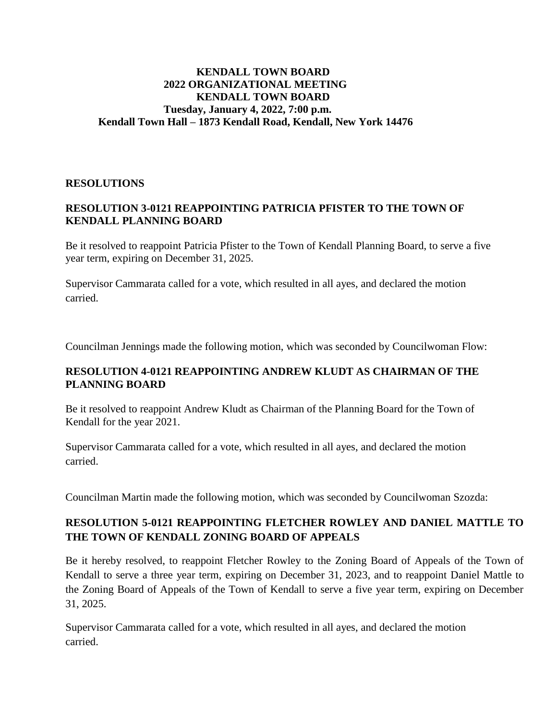#### **KENDALL TOWN BOARD 2022 ORGANIZATIONAL MEETING KENDALL TOWN BOARD Tuesday, January 4, 2022, 7:00 p.m. Kendall Town Hall – 1873 Kendall Road, Kendall, New York 14476**

#### **RESOLUTIONS**

### **RESOLUTION 3-0121 REAPPOINTING PATRICIA PFISTER TO THE TOWN OF KENDALL PLANNING BOARD**

Be it resolved to reappoint Patricia Pfister to the Town of Kendall Planning Board, to serve a five year term, expiring on December 31, 2025.

Supervisor Cammarata called for a vote, which resulted in all ayes, and declared the motion carried.

Councilman Jennings made the following motion, which was seconded by Councilwoman Flow:

### **RESOLUTION 4-0121 REAPPOINTING ANDREW KLUDT AS CHAIRMAN OF THE PLANNING BOARD**

Be it resolved to reappoint Andrew Kludt as Chairman of the Planning Board for the Town of Kendall for the year 2021.

Supervisor Cammarata called for a vote, which resulted in all ayes, and declared the motion carried.

Councilman Martin made the following motion, which was seconded by Councilwoman Szozda:

# **RESOLUTION 5-0121 REAPPOINTING FLETCHER ROWLEY AND DANIEL MATTLE TO THE TOWN OF KENDALL ZONING BOARD OF APPEALS**

Be it hereby resolved, to reappoint Fletcher Rowley to the Zoning Board of Appeals of the Town of Kendall to serve a three year term, expiring on December 31, 2023, and to reappoint Daniel Mattle to the Zoning Board of Appeals of the Town of Kendall to serve a five year term, expiring on December 31, 2025.

Supervisor Cammarata called for a vote, which resulted in all ayes, and declared the motion carried.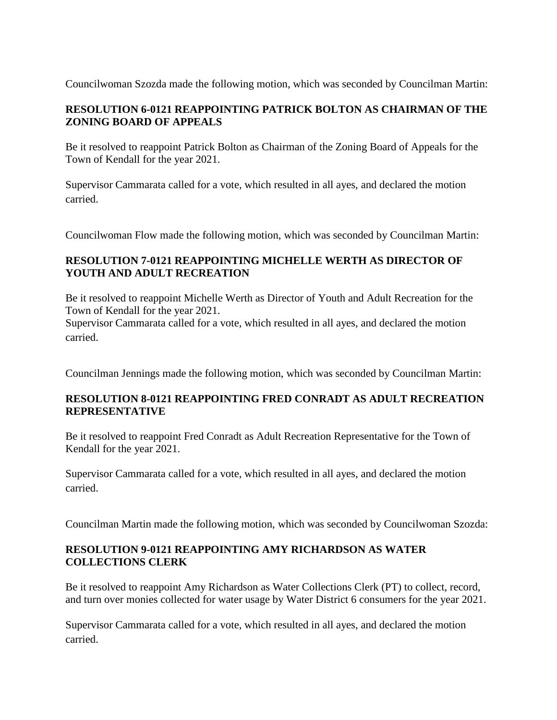Councilwoman Szozda made the following motion, which was seconded by Councilman Martin:

# **RESOLUTION 6-0121 REAPPOINTING PATRICK BOLTON AS CHAIRMAN OF THE ZONING BOARD OF APPEALS**

Be it resolved to reappoint Patrick Bolton as Chairman of the Zoning Board of Appeals for the Town of Kendall for the year 2021.

Supervisor Cammarata called for a vote, which resulted in all ayes, and declared the motion carried.

Councilwoman Flow made the following motion, which was seconded by Councilman Martin:

# **RESOLUTION 7-0121 REAPPOINTING MICHELLE WERTH AS DIRECTOR OF YOUTH AND ADULT RECREATION**

Be it resolved to reappoint Michelle Werth as Director of Youth and Adult Recreation for the Town of Kendall for the year 2021.

Supervisor Cammarata called for a vote, which resulted in all ayes, and declared the motion carried.

Councilman Jennings made the following motion, which was seconded by Councilman Martin:

### **RESOLUTION 8-0121 REAPPOINTING FRED CONRADT AS ADULT RECREATION REPRESENTATIVE**

Be it resolved to reappoint Fred Conradt as Adult Recreation Representative for the Town of Kendall for the year 2021.

Supervisor Cammarata called for a vote, which resulted in all ayes, and declared the motion carried.

Councilman Martin made the following motion, which was seconded by Councilwoman Szozda:

# **RESOLUTION 9-0121 REAPPOINTING AMY RICHARDSON AS WATER COLLECTIONS CLERK**

Be it resolved to reappoint Amy Richardson as Water Collections Clerk (PT) to collect, record, and turn over monies collected for water usage by Water District 6 consumers for the year 2021.

Supervisor Cammarata called for a vote, which resulted in all ayes, and declared the motion carried.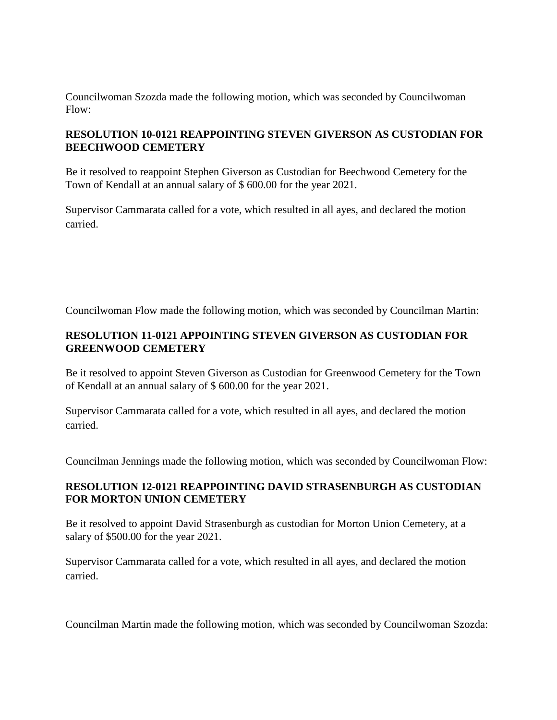Councilwoman Szozda made the following motion, which was seconded by Councilwoman Flow:

### **RESOLUTION 10-0121 REAPPOINTING STEVEN GIVERSON AS CUSTODIAN FOR BEECHWOOD CEMETERY**

Be it resolved to reappoint Stephen Giverson as Custodian for Beechwood Cemetery for the Town of Kendall at an annual salary of \$ 600.00 for the year 2021.

Supervisor Cammarata called for a vote, which resulted in all ayes, and declared the motion carried.

Councilwoman Flow made the following motion, which was seconded by Councilman Martin:

### **RESOLUTION 11-0121 APPOINTING STEVEN GIVERSON AS CUSTODIAN FOR GREENWOOD CEMETERY**

Be it resolved to appoint Steven Giverson as Custodian for Greenwood Cemetery for the Town of Kendall at an annual salary of \$ 600.00 for the year 2021.

Supervisor Cammarata called for a vote, which resulted in all ayes, and declared the motion carried.

Councilman Jennings made the following motion, which was seconded by Councilwoman Flow:

# **RESOLUTION 12-0121 REAPPOINTING DAVID STRASENBURGH AS CUSTODIAN FOR MORTON UNION CEMETERY**

Be it resolved to appoint David Strasenburgh as custodian for Morton Union Cemetery, at a salary of \$500.00 for the year 2021.

Supervisor Cammarata called for a vote, which resulted in all ayes, and declared the motion carried.

Councilman Martin made the following motion, which was seconded by Councilwoman Szozda: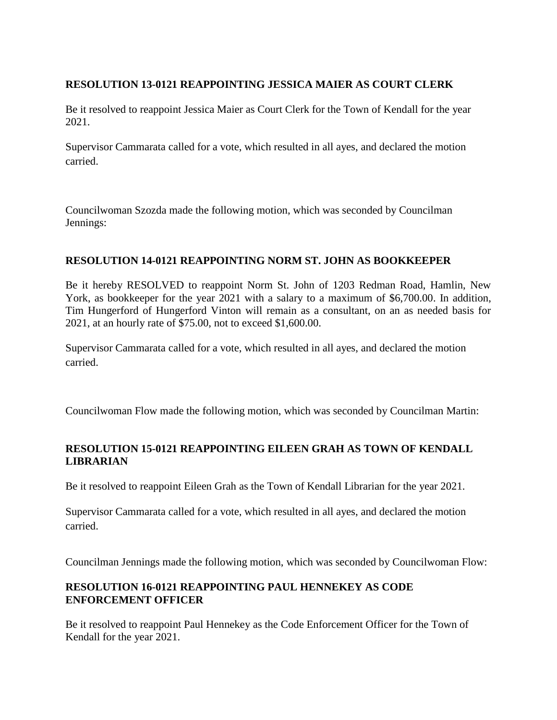### **RESOLUTION 13-0121 REAPPOINTING JESSICA MAIER AS COURT CLERK**

Be it resolved to reappoint Jessica Maier as Court Clerk for the Town of Kendall for the year 2021.

Supervisor Cammarata called for a vote, which resulted in all ayes, and declared the motion carried.

Councilwoman Szozda made the following motion, which was seconded by Councilman Jennings:

# **RESOLUTION 14-0121 REAPPOINTING NORM ST. JOHN AS BOOKKEEPER**

Be it hereby RESOLVED to reappoint Norm St. John of 1203 Redman Road, Hamlin, New York, as bookkeeper for the year 2021 with a salary to a maximum of \$6,700.00. In addition, Tim Hungerford of Hungerford Vinton will remain as a consultant, on an as needed basis for 2021, at an hourly rate of \$75.00, not to exceed \$1,600.00.

Supervisor Cammarata called for a vote, which resulted in all ayes, and declared the motion carried.

Councilwoman Flow made the following motion, which was seconded by Councilman Martin:

### **RESOLUTION 15-0121 REAPPOINTING EILEEN GRAH AS TOWN OF KENDALL LIBRARIAN**

Be it resolved to reappoint Eileen Grah as the Town of Kendall Librarian for the year 2021.

Supervisor Cammarata called for a vote, which resulted in all ayes, and declared the motion carried.

Councilman Jennings made the following motion, which was seconded by Councilwoman Flow:

# **RESOLUTION 16-0121 REAPPOINTING PAUL HENNEKEY AS CODE ENFORCEMENT OFFICER**

Be it resolved to reappoint Paul Hennekey as the Code Enforcement Officer for the Town of Kendall for the year 2021.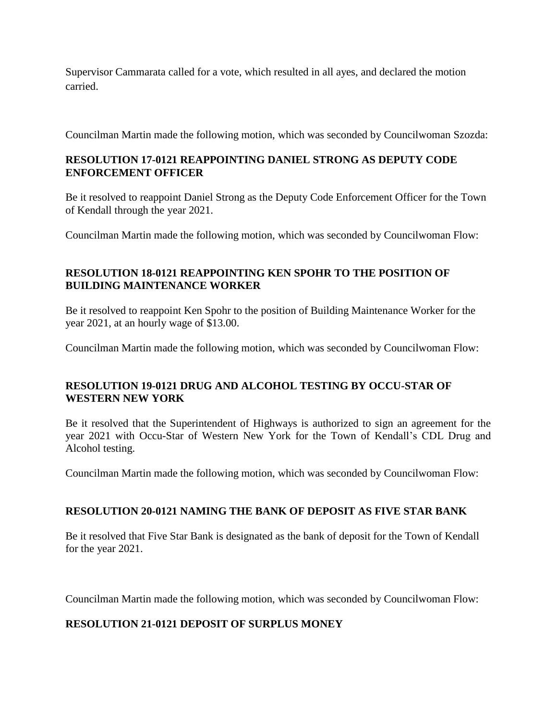Supervisor Cammarata called for a vote, which resulted in all ayes, and declared the motion carried.

Councilman Martin made the following motion, which was seconded by Councilwoman Szozda:

### **RESOLUTION 17-0121 REAPPOINTING DANIEL STRONG AS DEPUTY CODE ENFORCEMENT OFFICER**

Be it resolved to reappoint Daniel Strong as the Deputy Code Enforcement Officer for the Town of Kendall through the year 2021.

Councilman Martin made the following motion, which was seconded by Councilwoman Flow:

# **RESOLUTION 18-0121 REAPPOINTING KEN SPOHR TO THE POSITION OF BUILDING MAINTENANCE WORKER**

Be it resolved to reappoint Ken Spohr to the position of Building Maintenance Worker for the year 2021, at an hourly wage of \$13.00.

Councilman Martin made the following motion, which was seconded by Councilwoman Flow:

# **RESOLUTION 19-0121 DRUG AND ALCOHOL TESTING BY OCCU-STAR OF WESTERN NEW YORK**

Be it resolved that the Superintendent of Highways is authorized to sign an agreement for the year 2021 with Occu-Star of Western New York for the Town of Kendall's CDL Drug and Alcohol testing.

Councilman Martin made the following motion, which was seconded by Councilwoman Flow:

# **RESOLUTION 20-0121 NAMING THE BANK OF DEPOSIT AS FIVE STAR BANK**

Be it resolved that Five Star Bank is designated as the bank of deposit for the Town of Kendall for the year 2021.

Councilman Martin made the following motion, which was seconded by Councilwoman Flow:

# **RESOLUTION 21-0121 DEPOSIT OF SURPLUS MONEY**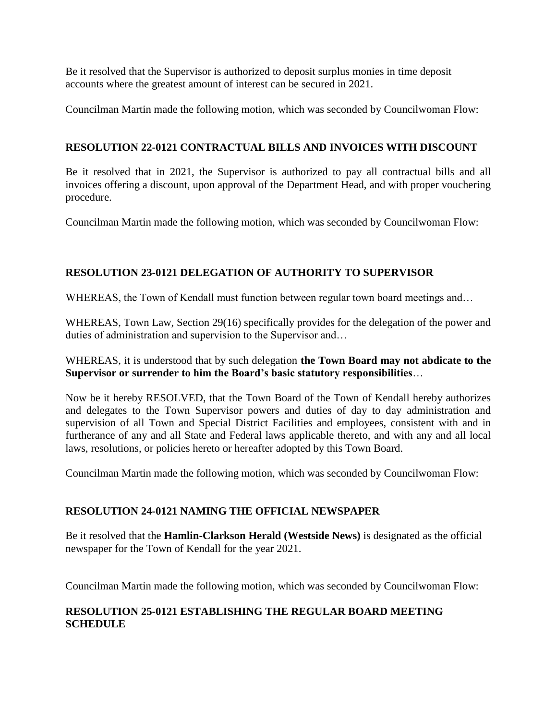Be it resolved that the Supervisor is authorized to deposit surplus monies in time deposit accounts where the greatest amount of interest can be secured in 2021.

Councilman Martin made the following motion, which was seconded by Councilwoman Flow:

### **RESOLUTION 22-0121 CONTRACTUAL BILLS AND INVOICES WITH DISCOUNT**

Be it resolved that in 2021, the Supervisor is authorized to pay all contractual bills and all invoices offering a discount, upon approval of the Department Head, and with proper vouchering procedure.

Councilman Martin made the following motion, which was seconded by Councilwoman Flow:

# **RESOLUTION 23-0121 DELEGATION OF AUTHORITY TO SUPERVISOR**

WHEREAS, the Town of Kendall must function between regular town board meetings and...

WHEREAS, Town Law, Section 29(16) specifically provides for the delegation of the power and duties of administration and supervision to the Supervisor and…

### WHEREAS, it is understood that by such delegation **the Town Board may not abdicate to the Supervisor or surrender to him the Board's basic statutory responsibilities**…

Now be it hereby RESOLVED, that the Town Board of the Town of Kendall hereby authorizes and delegates to the Town Supervisor powers and duties of day to day administration and supervision of all Town and Special District Facilities and employees, consistent with and in furtherance of any and all State and Federal laws applicable thereto, and with any and all local laws, resolutions, or policies hereto or hereafter adopted by this Town Board.

Councilman Martin made the following motion, which was seconded by Councilwoman Flow:

# **RESOLUTION 24-0121 NAMING THE OFFICIAL NEWSPAPER**

Be it resolved that the **Hamlin-Clarkson Herald (Westside News)** is designated as the official newspaper for the Town of Kendall for the year 2021.

Councilman Martin made the following motion, which was seconded by Councilwoman Flow:

### **RESOLUTION 25-0121 ESTABLISHING THE REGULAR BOARD MEETING SCHEDULE**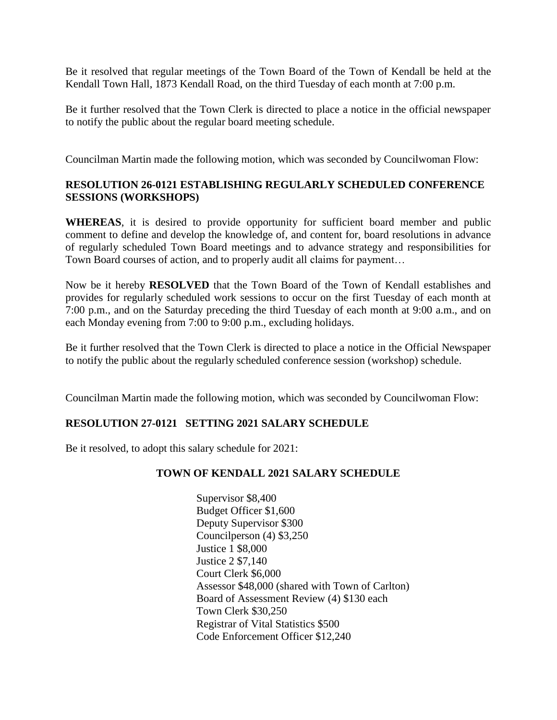Be it resolved that regular meetings of the Town Board of the Town of Kendall be held at the Kendall Town Hall, 1873 Kendall Road, on the third Tuesday of each month at 7:00 p.m.

Be it further resolved that the Town Clerk is directed to place a notice in the official newspaper to notify the public about the regular board meeting schedule.

Councilman Martin made the following motion, which was seconded by Councilwoman Flow:

### **RESOLUTION 26-0121 ESTABLISHING REGULARLY SCHEDULED CONFERENCE SESSIONS (WORKSHOPS)**

**WHEREAS**, it is desired to provide opportunity for sufficient board member and public comment to define and develop the knowledge of, and content for, board resolutions in advance of regularly scheduled Town Board meetings and to advance strategy and responsibilities for Town Board courses of action, and to properly audit all claims for payment…

Now be it hereby **RESOLVED** that the Town Board of the Town of Kendall establishes and provides for regularly scheduled work sessions to occur on the first Tuesday of each month at 7:00 p.m., and on the Saturday preceding the third Tuesday of each month at 9:00 a.m., and on each Monday evening from 7:00 to 9:00 p.m., excluding holidays.

Be it further resolved that the Town Clerk is directed to place a notice in the Official Newspaper to notify the public about the regularly scheduled conference session (workshop) schedule.

Councilman Martin made the following motion, which was seconded by Councilwoman Flow:

### **RESOLUTION 27-0121 SETTING 2021 SALARY SCHEDULE**

Be it resolved, to adopt this salary schedule for 2021:

### **TOWN OF KENDALL 2021 SALARY SCHEDULE**

Supervisor \$8,400 Budget Officer \$1,600 Deputy Supervisor \$300 Councilperson (4) \$3,250 Justice 1 \$8,000 Justice 2 \$7,140 Court Clerk \$6,000 Assessor \$48,000 (shared with Town of Carlton) Board of Assessment Review (4) \$130 each Town Clerk \$30,250 Registrar of Vital Statistics \$500 Code Enforcement Officer \$12,240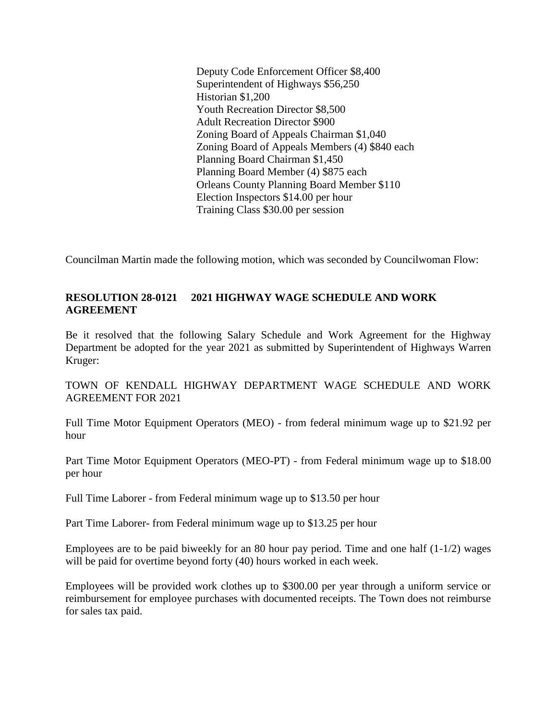Deputy Code Enforcement Officer \$8,400 Superintendent of Highways \$56,250 Historian \$1,200 Youth Recreation Director \$8,500 Adult Recreation Director \$900 Zoning Board of Appeals Chairman \$1,040 Zoning Board of Appeals Members (4) \$840 each Planning Board Chairman \$1,450 Planning Board Member (4) \$875 each Orleans County Planning Board Member \$110 Election Inspectors \$14.00 per hour Training Class \$30.00 per session

Councilman Martin made the following motion, which was seconded by Councilwoman Flow:

#### **RESOLUTION 28-0121 2021 HIGHWAY WAGE SCHEDULE AND WORK AGREEMENT**

Be it resolved that the following Salary Schedule and Work Agreement for the Highway Department be adopted for the year 2021 as submitted by Superintendent of Highways Warren Kruger:

TOWN OF KENDALL HIGHWAY DEPARTMENT WAGE SCHEDULE AND WORK AGREEMENT FOR 2021

Full Time Motor Equipment Operators (MEO) - from federal minimum wage up to \$21.92 per hour

Part Time Motor Equipment Operators (MEO-PT) - from Federal minimum wage up to \$18.00 per hour

Full Time Laborer - from Federal minimum wage up to \$13.50 per hour

Part Time Laborer- from Federal minimum wage up to \$13.25 per hour

Employees are to be paid biweekly for an 80 hour pay period. Time and one half (1-1/2) wages will be paid for overtime beyond forty (40) hours worked in each week.

Employees will be provided work clothes up to \$300.00 per year through a uniform service or reimbursement for employee purchases with documented receipts. The Town does not reimburse for sales tax paid.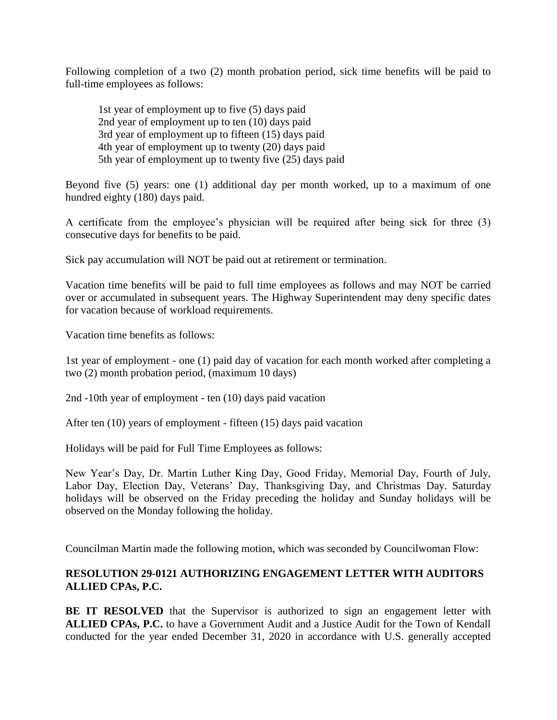Following completion of a two (2) month probation period, sick time benefits will be paid to full-time employees as follows:

1st year of employment up to five (5) days paid 2nd year of employment up to ten (10) days paid 3rd year of employment up to fifteen (15) days paid 4th year of employment up to twenty (20) days paid 5th year of employment up to twenty five (25) days paid

Beyond five (5) years: one (1) additional day per month worked, up to a maximum of one hundred eighty (180) days paid.

A certificate from the employee's physician will be required after being sick for three (3) consecutive days for benefits to be paid.

Sick pay accumulation will NOT be paid out at retirement or termination.

Vacation time benefits will be paid to full time employees as follows and may NOT be carried over or accumulated in subsequent years. The Highway Superintendent may deny specific dates for vacation because of workload requirements.

Vacation time benefits as follows:

1st year of employment - one (1) paid day of vacation for each month worked after completing a two (2) month probation period, (maximum 10 days)

2nd -10th year of employment - ten (10) days paid vacation

After ten (10) years of employment - fifteen (15) days paid vacation

Holidays will be paid for Full Time Employees as follows:

New Year's Day, Dr. Martin Luther King Day, Good Friday, Memorial Day, Fourth of July, Labor Day, Election Day, Veterans' Day, Thanksgiving Day, and Christmas Day. Saturday holidays will be observed on the Friday preceding the holiday and Sunday holidays will be observed on the Monday following the holiday.

Councilman Martin made the following motion, which was seconded by Councilwoman Flow:

#### **RESOLUTION 29-0121 AUTHORIZING ENGAGEMENT LETTER WITH AUDITORS ALLIED CPAs, P.C.**

**BE IT RESOLVED** that the Supervisor is authorized to sign an engagement letter with **ALLIED CPAs, P.C.** to have a Government Audit and a Justice Audit for the Town of Kendall conducted for the year ended December 31, 2020 in accordance with U.S. generally accepted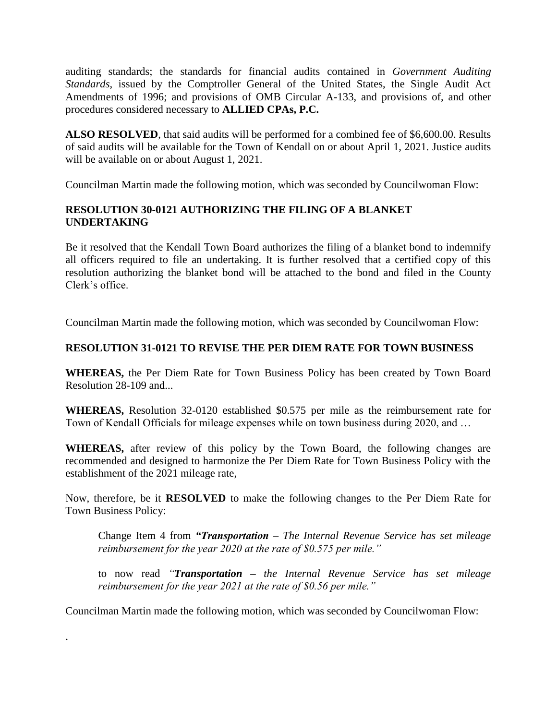auditing standards; the standards for financial audits contained in *Government Auditing Standards*, issued by the Comptroller General of the United States, the Single Audit Act Amendments of 1996; and provisions of OMB Circular A-133, and provisions of, and other procedures considered necessary to **ALLIED CPAs, P.C.** 

**ALSO RESOLVED**, that said audits will be performed for a combined fee of \$6,600.00. Results of said audits will be available for the Town of Kendall on or about April 1, 2021. Justice audits will be available on or about August 1, 2021.

Councilman Martin made the following motion, which was seconded by Councilwoman Flow:

# **RESOLUTION 30-0121 AUTHORIZING THE FILING OF A BLANKET UNDERTAKING**

Be it resolved that the Kendall Town Board authorizes the filing of a blanket bond to indemnify all officers required to file an undertaking. It is further resolved that a certified copy of this resolution authorizing the blanket bond will be attached to the bond and filed in the County Clerk's office.

Councilman Martin made the following motion, which was seconded by Councilwoman Flow:

# **RESOLUTION 31-0121 TO REVISE THE PER DIEM RATE FOR TOWN BUSINESS**

**WHEREAS,** the Per Diem Rate for Town Business Policy has been created by Town Board Resolution 28-109 and...

**WHEREAS,** Resolution 32-0120 established \$0.575 per mile as the reimbursement rate for Town of Kendall Officials for mileage expenses while on town business during 2020, and …

**WHEREAS,** after review of this policy by the Town Board, the following changes are recommended and designed to harmonize the Per Diem Rate for Town Business Policy with the establishment of the 2021 mileage rate,

Now, therefore, be it **RESOLVED** to make the following changes to the Per Diem Rate for Town Business Policy:

Change Item 4 from *"Transportation – The Internal Revenue Service has set mileage reimbursement for the year 2020 at the rate of \$0.575 per mile."* 

to now read *"Transportation – the Internal Revenue Service has set mileage reimbursement for the year 2021 at the rate of \$0.56 per mile."* 

Councilman Martin made the following motion, which was seconded by Councilwoman Flow:

.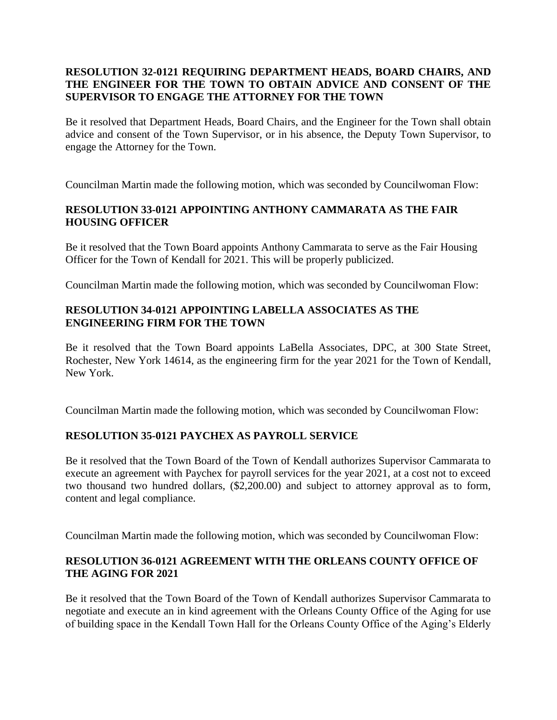### **RESOLUTION 32-0121 REQUIRING DEPARTMENT HEADS, BOARD CHAIRS, AND THE ENGINEER FOR THE TOWN TO OBTAIN ADVICE AND CONSENT OF THE SUPERVISOR TO ENGAGE THE ATTORNEY FOR THE TOWN**

Be it resolved that Department Heads, Board Chairs, and the Engineer for the Town shall obtain advice and consent of the Town Supervisor, or in his absence, the Deputy Town Supervisor, to engage the Attorney for the Town.

Councilman Martin made the following motion, which was seconded by Councilwoman Flow:

# **RESOLUTION 33-0121 APPOINTING ANTHONY CAMMARATA AS THE FAIR HOUSING OFFICER**

Be it resolved that the Town Board appoints Anthony Cammarata to serve as the Fair Housing Officer for the Town of Kendall for 2021. This will be properly publicized.

Councilman Martin made the following motion, which was seconded by Councilwoman Flow:

# **RESOLUTION 34-0121 APPOINTING LABELLA ASSOCIATES AS THE ENGINEERING FIRM FOR THE TOWN**

Be it resolved that the Town Board appoints LaBella Associates, DPC, at 300 State Street, Rochester, New York 14614, as the engineering firm for the year 2021 for the Town of Kendall, New York.

Councilman Martin made the following motion, which was seconded by Councilwoman Flow:

### **RESOLUTION 35-0121 PAYCHEX AS PAYROLL SERVICE**

Be it resolved that the Town Board of the Town of Kendall authorizes Supervisor Cammarata to execute an agreement with Paychex for payroll services for the year 2021, at a cost not to exceed two thousand two hundred dollars, (\$2,200.00) and subject to attorney approval as to form, content and legal compliance.

Councilman Martin made the following motion, which was seconded by Councilwoman Flow:

# **RESOLUTION 36-0121 AGREEMENT WITH THE ORLEANS COUNTY OFFICE OF THE AGING FOR 2021**

Be it resolved that the Town Board of the Town of Kendall authorizes Supervisor Cammarata to negotiate and execute an in kind agreement with the Orleans County Office of the Aging for use of building space in the Kendall Town Hall for the Orleans County Office of the Aging's Elderly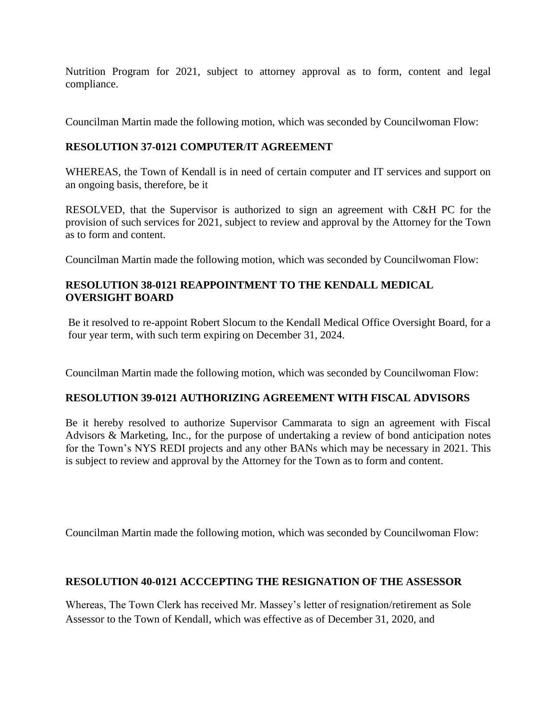Nutrition Program for 2021, subject to attorney approval as to form, content and legal compliance.

Councilman Martin made the following motion, which was seconded by Councilwoman Flow:

# **RESOLUTION 37-0121 COMPUTER**/**IT AGREEMENT**

WHEREAS, the Town of Kendall is in need of certain computer and IT services and support on an ongoing basis, therefore, be it

RESOLVED, that the Supervisor is authorized to sign an agreement with C&H PC for the provision of such services for 2021, subject to review and approval by the Attorney for the Town as to form and content.

Councilman Martin made the following motion, which was seconded by Councilwoman Flow:

# **RESOLUTION 38-0121 REAPPOINTMENT TO THE KENDALL MEDICAL OVERSIGHT BOARD**

Be it resolved to re-appoint Robert Slocum to the Kendall Medical Office Oversight Board, for a four year term, with such term expiring on December 31, 2024.

Councilman Martin made the following motion, which was seconded by Councilwoman Flow:

# **RESOLUTION 39-0121 AUTHORIZING AGREEMENT WITH FISCAL ADVISORS**

Be it hereby resolved to authorize Supervisor Cammarata to sign an agreement with Fiscal Advisors & Marketing, Inc., for the purpose of undertaking a review of bond anticipation notes for the Town's NYS REDI projects and any other BANs which may be necessary in 2021. This is subject to review and approval by the Attorney for the Town as to form and content.

Councilman Martin made the following motion, which was seconded by Councilwoman Flow:

### **RESOLUTION 40-0121 ACCCEPTING THE RESIGNATION OF THE ASSESSOR**

Whereas, The Town Clerk has received Mr. Massey's letter of resignation/retirement as Sole Assessor to the Town of Kendall, which was effective as of December 31, 2020, and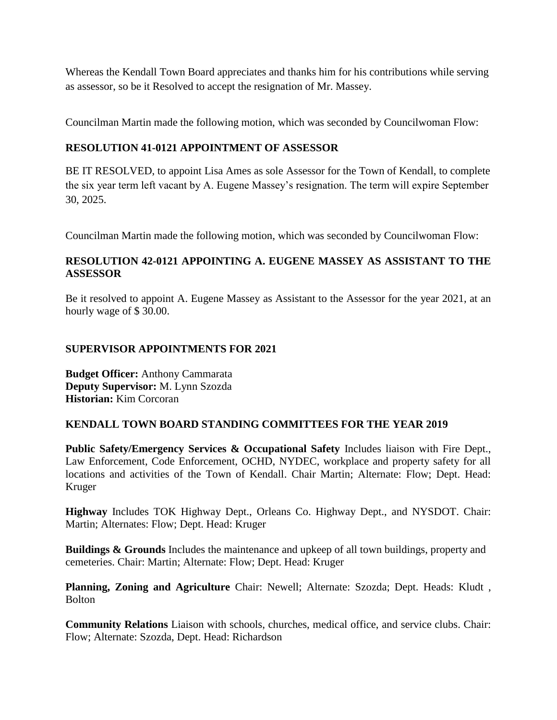Whereas the Kendall Town Board appreciates and thanks him for his contributions while serving as assessor, so be it Resolved to accept the resignation of Mr. Massey.

Councilman Martin made the following motion, which was seconded by Councilwoman Flow:

# **RESOLUTION 41-0121 APPOINTMENT OF ASSESSOR**

BE IT RESOLVED, to appoint Lisa Ames as sole Assessor for the Town of Kendall, to complete the six year term left vacant by A. Eugene Massey's resignation. The term will expire September 30, 2025.

Councilman Martin made the following motion, which was seconded by Councilwoman Flow:

# **RESOLUTION 42-0121 APPOINTING A. EUGENE MASSEY AS ASSISTANT TO THE ASSESSOR**

Be it resolved to appoint A. Eugene Massey as Assistant to the Assessor for the year 2021, at an hourly wage of \$ 30.00.

#### **SUPERVISOR APPOINTMENTS FOR 2021**

**Budget Officer:** Anthony Cammarata **Deputy Supervisor:** M. Lynn Szozda **Historian:** Kim Corcoran

### **KENDALL TOWN BOARD STANDING COMMITTEES FOR THE YEAR 2019**

**Public Safety/Emergency Services & Occupational Safety** Includes liaison with Fire Dept., Law Enforcement, Code Enforcement, OCHD, NYDEC, workplace and property safety for all locations and activities of the Town of Kendall. Chair Martin; Alternate: Flow; Dept. Head: Kruger

**Highway** Includes TOK Highway Dept., Orleans Co. Highway Dept., and NYSDOT. Chair: Martin; Alternates: Flow; Dept. Head: Kruger

**Buildings & Grounds** Includes the maintenance and upkeep of all town buildings, property and cemeteries. Chair: Martin; Alternate: Flow; Dept. Head: Kruger

**Planning, Zoning and Agriculture** Chair: Newell; Alternate: Szozda; Dept. Heads: Kludt , Bolton

**Community Relations** Liaison with schools, churches, medical office, and service clubs. Chair: Flow; Alternate: Szozda, Dept. Head: Richardson